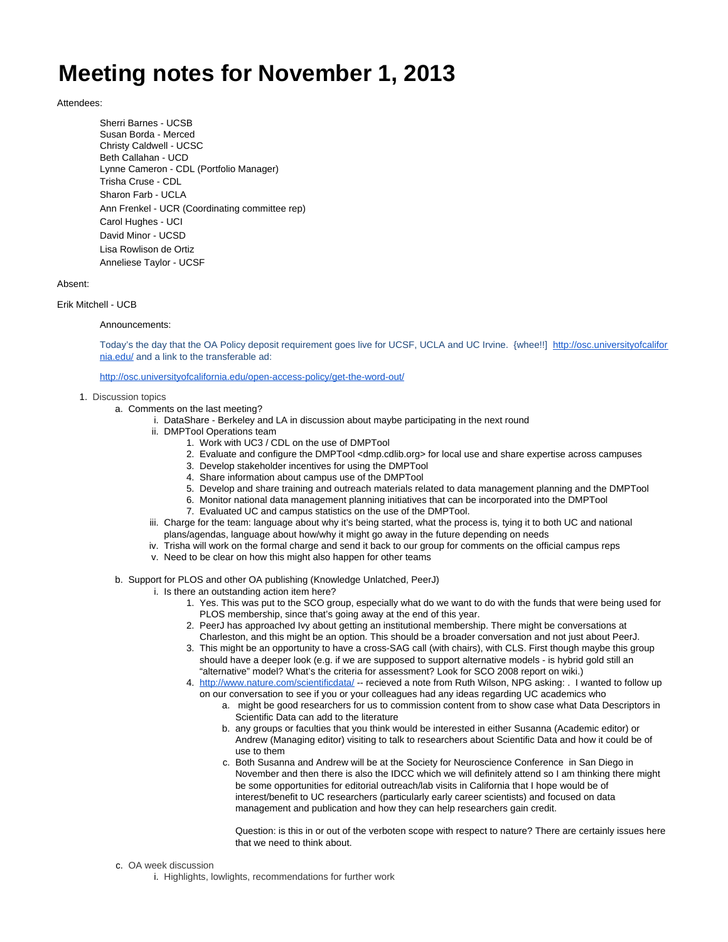# **Meeting notes for November 1, 2013**

## Attendees:

Sherri Barnes - UCSB Susan Borda - Merced Christy Caldwell - UCSC Beth Callahan - UCD Lynne Cameron - CDL (Portfolio Manager) Trisha Cruse - CDL Sharon Farb - UCLA Ann Frenkel - UCR (Coordinating committee rep) Carol Hughes - UCI David Minor - UCSD Lisa Rowlison de Ortiz Anneliese Taylor - UCSF

## Absent:

### Erik Mitchell - UCB

### Announcements:

Today's the day that the OA Policy deposit requirement goes live for UCSF, UCLA and UC Irvine. {whee!!] [http://osc.universityofcalifor](http://osc.universityofcalifornia.edu/) [nia.edu/](http://osc.universityofcalifornia.edu/) and a link to the transferable ad:

<http://osc.universityofcalifornia.edu/open-access-policy/get-the-word-out/>

- 1. Discussion topics
	- a. Comments on the last meeting?
		- i. DataShare Berkeley and LA in discussion about maybe participating in the next round
		- ii. DMPTool Operations team
			- 1. Work with UC3 / CDL on the use of DMPTool
			- 2. Evaluate and configure the DMPTool <dmp.cdlib.org> for local use and share expertise across campuses
			- 3. Develop stakeholder incentives for using the DMPTool
			- 4. Share information about campus use of the DMPTool
			- 5. Develop and share training and outreach materials related to data management planning and the DMPTool
			- 6. Monitor national data management planning initiatives that can be incorporated into the DMPTool
			- 7. Evaluated UC and campus statistics on the use of the DMPTool.
		- iii. Charge for the team: language about why it's being started, what the process is, tying it to both UC and national plans/agendas, language about how/why it might go away in the future depending on needs
		- iv. Trisha will work on the formal charge and send it back to our group for comments on the official campus reps
		- v. Need to be clear on how this might also happen for other teams
	- b. Support for PLOS and other OA publishing (Knowledge Unlatched, PeerJ)
		- i. Is there an outstanding action item here?
			- 1. Yes. This was put to the SCO group, especially what do we want to do with the funds that were being used for PLOS membership, since that's going away at the end of this year.
			- 2. PeerJ has approached Ivy about getting an institutional membership. There might be conversations at Charleston, and this might be an option. This should be a broader conversation and not just about PeerJ.
			- 3. This might be an opportunity to have a cross-SAG call (with chairs), with CLS. First though maybe this group should have a deeper look (e.g. if we are supposed to support alternative models - is hybrid gold still an "alternative" model? What's the criteria for assessment? Look for SCO 2008 report on wiki.)
			- 4. <http://www.nature.com/scientificdata/> -- recieved a note from Ruth Wilson, NPG asking: . I wanted to follow up on our conversation to see if you or your colleagues had any ideas regarding UC academics who
				- a. might be good researchers for us to commission content from to show case what Data Descriptors in Scientific Data can add to the literature
				- b. any groups or faculties that you think would be interested in either Susanna (Academic editor) or Andrew (Managing editor) visiting to talk to researchers about Scientific Data and how it could be of use to them
				- c. Both Susanna and Andrew will be at the Society for Neuroscience Conference in San Diego in November and then there is also the IDCC which we will definitely attend so I am thinking there might be some opportunities for editorial outreach/lab visits in California that I hope would be of interest/benefit to UC researchers (particularly early career scientists) and focused on data management and publication and how they can help researchers gain credit.

Question: is this in or out of the verboten scope with respect to nature? There are certainly issues here that we need to think about.

- c. OA week discussion
	- i. Highlights, lowlights, recommendations for further work